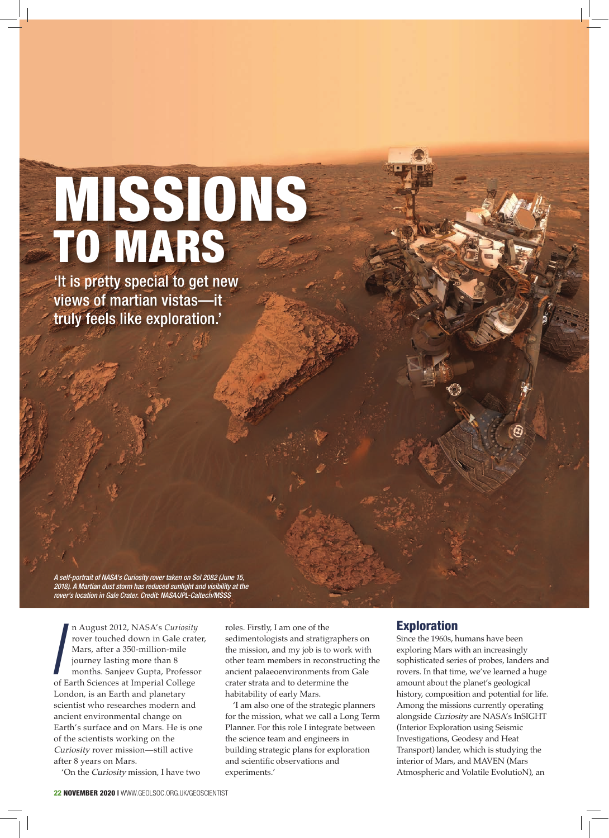## TO MARS MISSIONS

'It is pretty special to get new views of martian vistas—it truly feels like exploration.'

A self-portrait of NASA's Curiosity rover taken on Sol 2082 (June 15, 2018). A Martian dust storm has reduced sunlight and visibility at the rover's location in Gale Crater. Credit: NASA/JPL-Caltech/MSSS

*I*<br>of n August 2012, NASA's *Curiosity* rover touched down in Gale crater, Mars, after a 350-million-mile journey lasting more than 8 months. Sanjeev Gupta, Professor of Earth Sciences at Imperial College London, is an Earth and planetary scientist who researches modern and ancient environmental change on Earth's surface and on Mars. He is one of the scientists working on the Curiosity rover mission—still active after 8 years on Mars.

'On the Curiosity mission, I have two

roles. Firstly, I am one of the sedimentologists and stratigraphers on the mission, and my job is to work with other team members in reconstructing the ancient palaeoenvironments from Gale crater strata and to determine the habitability of early Mars.

'I am also one of the strategic planners for the mission, what we call a Long Term Planner. For this role I integrate between the science team and engineers in building strategic plans for exploration and scientific observations and experiments.'

## Exploration

Since the 1960s, humans have been exploring Mars with an increasingly sophisticated series of probes, landers and rovers. In that time, we've learned a huge amount about the planet's geological history, composition and potential for life. Among the missions currently operating alongside Curiosity are NASA's InSIGHT (Interior Exploration using Seismic Investigations, Geodesy and Heat Transport) lander, which is studying the interior of Mars, and MAVEN (Mars Atmospheric and Volatile EvolutioN), an